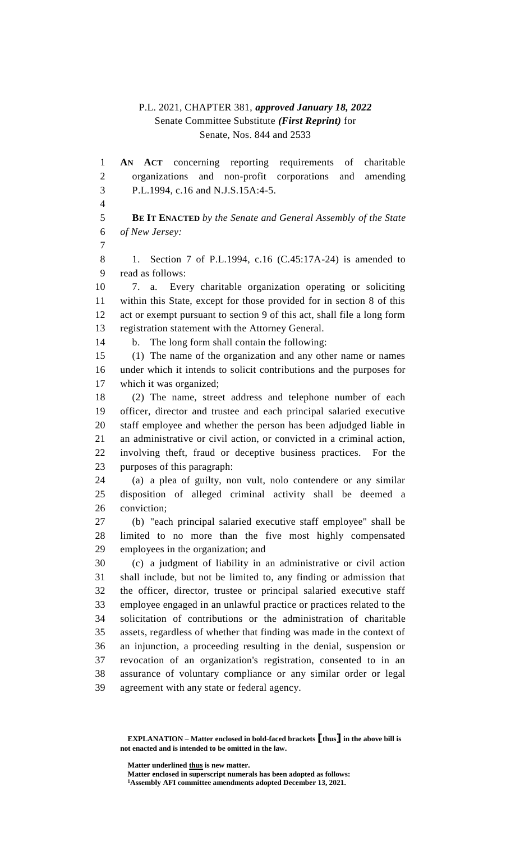## P.L. 2021, CHAPTER 381, *approved January 18, 2022* Senate Committee Substitute *(First Reprint)* for Senate, Nos. 844 and 2533

 **AN ACT** concerning reporting requirements of charitable organizations and non-profit corporations and amending P.L.1994, c.16 and N.J.S.15A:4-5. **BE IT ENACTED** *by the Senate and General Assembly of the State of New Jersey:* 1. Section 7 of P.L.1994, c.16 (C.45:17A-24) is amended to read as follows: 7. a. Every charitable organization operating or soliciting within this State, except for those provided for in section 8 of this act or exempt pursuant to section 9 of this act, shall file a long form registration statement with the Attorney General. b. The long form shall contain the following: (1) The name of the organization and any other name or names under which it intends to solicit contributions and the purposes for which it was organized; (2) The name, street address and telephone number of each officer, director and trustee and each principal salaried executive staff employee and whether the person has been adjudged liable in an administrative or civil action, or convicted in a criminal action, involving theft, fraud or deceptive business practices. For the purposes of this paragraph: (a) a plea of guilty, non vult, nolo contendere or any similar disposition of alleged criminal activity shall be deemed a conviction; (b) "each principal salaried executive staff employee" shall be limited to no more than the five most highly compensated employees in the organization; and (c) a judgment of liability in an administrative or civil action shall include, but not be limited to, any finding or admission that the officer, director, trustee or principal salaried executive staff employee engaged in an unlawful practice or practices related to the solicitation of contributions or the administration of charitable assets, regardless of whether that finding was made in the context of an injunction, a proceeding resulting in the denial, suspension or revocation of an organization's registration, consented to in an assurance of voluntary compliance or any similar order or legal agreement with any state or federal agency.

**Matter underlined thus is new matter.**

**Matter enclosed in superscript numerals has been adopted as follows: Assembly AFI committee amendments adopted December 13, 2021.**

**EXPLANATION – Matter enclosed in bold-faced brackets [thus] in the above bill is not enacted and is intended to be omitted in the law.**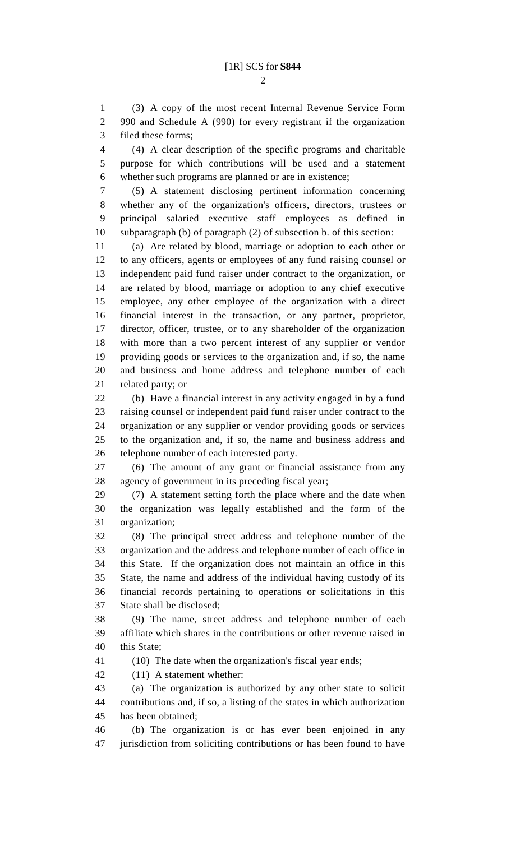(3) A copy of the most recent Internal Revenue Service Form 990 and Schedule A (990) for every registrant if the organization filed these forms;

 (4) A clear description of the specific programs and charitable purpose for which contributions will be used and a statement whether such programs are planned or are in existence;

 (5) A statement disclosing pertinent information concerning whether any of the organization's officers, directors, trustees or principal salaried executive staff employees as defined in subparagraph (b) of paragraph (2) of subsection b. of this section:

 (a) Are related by blood, marriage or adoption to each other or to any officers, agents or employees of any fund raising counsel or independent paid fund raiser under contract to the organization, or are related by blood, marriage or adoption to any chief executive employee, any other employee of the organization with a direct financial interest in the transaction, or any partner, proprietor, director, officer, trustee, or to any shareholder of the organization with more than a two percent interest of any supplier or vendor providing goods or services to the organization and, if so, the name and business and home address and telephone number of each related party; or

 (b) Have a financial interest in any activity engaged in by a fund raising counsel or independent paid fund raiser under contract to the organization or any supplier or vendor providing goods or services to the organization and, if so, the name and business address and telephone number of each interested party.

 (6) The amount of any grant or financial assistance from any agency of government in its preceding fiscal year;

 (7) A statement setting forth the place where and the date when the organization was legally established and the form of the organization;

 (8) The principal street address and telephone number of the organization and the address and telephone number of each office in this State. If the organization does not maintain an office in this State, the name and address of the individual having custody of its financial records pertaining to operations or solicitations in this State shall be disclosed;

 (9) The name, street address and telephone number of each affiliate which shares in the contributions or other revenue raised in this State;

(10) The date when the organization's fiscal year ends;

(11) A statement whether:

 (a) The organization is authorized by any other state to solicit contributions and, if so, a listing of the states in which authorization has been obtained;

 (b) The organization is or has ever been enjoined in any jurisdiction from soliciting contributions or has been found to have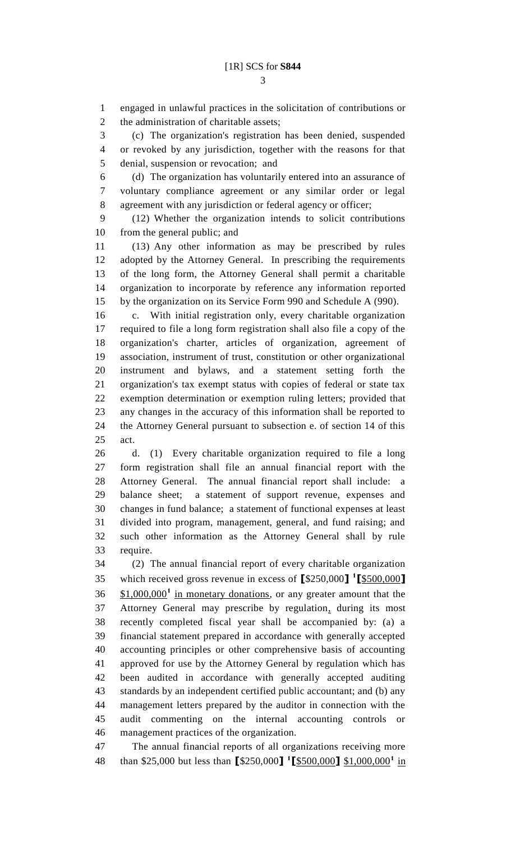engaged in unlawful practices in the solicitation of contributions or 2 the administration of charitable assets;

 (c) The organization's registration has been denied, suspended or revoked by any jurisdiction, together with the reasons for that denial, suspension or revocation; and

 (d) The organization has voluntarily entered into an assurance of voluntary compliance agreement or any similar order or legal agreement with any jurisdiction or federal agency or officer;

 (12) Whether the organization intends to solicit contributions from the general public; and

 (13) Any other information as may be prescribed by rules adopted by the Attorney General. In prescribing the requirements of the long form, the Attorney General shall permit a charitable organization to incorporate by reference any information reported by the organization on its Service Form 990 and Schedule A (990).

 c. With initial registration only, every charitable organization required to file a long form registration shall also file a copy of the organization's charter, articles of organization, agreement of association, instrument of trust, constitution or other organizational instrument and bylaws, and a statement setting forth the organization's tax exempt status with copies of federal or state tax exemption determination or exemption ruling letters; provided that any changes in the accuracy of this information shall be reported to the Attorney General pursuant to subsection e. of section 14 of this act.

 d. (1) Every charitable organization required to file a long form registration shall file an annual financial report with the Attorney General. The annual financial report shall include: a balance sheet; a statement of support revenue, expenses and changes in fund balance; a statement of functional expenses at least divided into program, management, general, and fund raising; and such other information as the Attorney General shall by rule require.

 (2) The annual financial report of every charitable organization which received gross revenue in excess of **[**\$250,000**] 1 [**\$500,000**]** 36 \$1,000,000<sup>1</sup> in monetary donations, or any greater amount that the Attorney General may prescribe by regulation, during its most recently completed fiscal year shall be accompanied by: (a) a financial statement prepared in accordance with generally accepted accounting principles or other comprehensive basis of accounting approved for use by the Attorney General by regulation which has been audited in accordance with generally accepted auditing standards by an independent certified public accountant; and (b) any management letters prepared by the auditor in connection with the audit commenting on the internal accounting controls or management practices of the organization.

 The annual financial reports of all organizations receiving more than \$25,000 but less than **[**\$250,000**] 1 [**\$500,000**]** \$1,000,000**<sup>1</sup>** in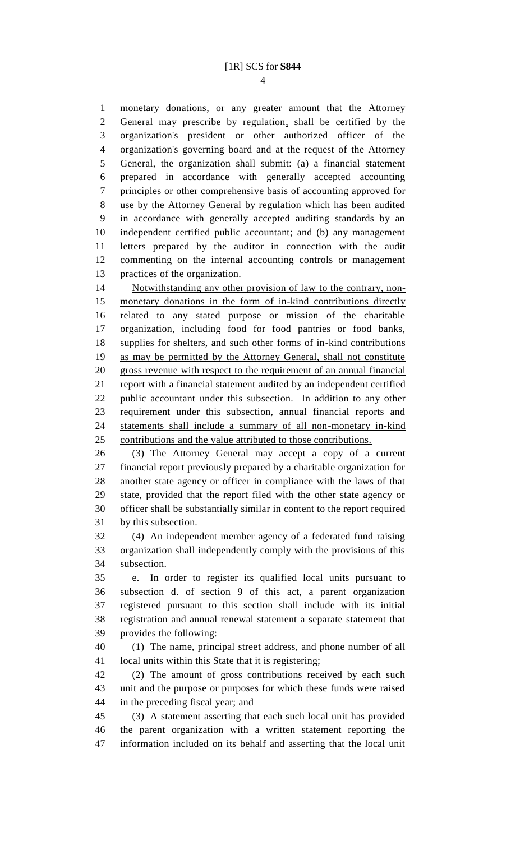monetary donations, or any greater amount that the Attorney General may prescribe by regulation, shall be certified by the organization's president or other authorized officer of the organization's governing board and at the request of the Attorney General, the organization shall submit: (a) a financial statement prepared in accordance with generally accepted accounting principles or other comprehensive basis of accounting approved for use by the Attorney General by regulation which has been audited in accordance with generally accepted auditing standards by an independent certified public accountant; and (b) any management letters prepared by the auditor in connection with the audit commenting on the internal accounting controls or management practices of the organization.

14 Notwithstanding any other provision of law to the contrary, non- monetary donations in the form of in-kind contributions directly related to any stated purpose or mission of the charitable organization, including food for food pantries or food banks, supplies for shelters, and such other forms of in-kind contributions as may be permitted by the Attorney General, shall not constitute gross revenue with respect to the requirement of an annual financial 21 report with a financial statement audited by an independent certified public accountant under this subsection. In addition to any other requirement under this subsection, annual financial reports and statements shall include a summary of all non-monetary in-kind contributions and the value attributed to those contributions.

 (3) The Attorney General may accept a copy of a current financial report previously prepared by a charitable organization for another state agency or officer in compliance with the laws of that state, provided that the report filed with the other state agency or officer shall be substantially similar in content to the report required by this subsection.

 (4) An independent member agency of a federated fund raising organization shall independently comply with the provisions of this subsection.

 e. In order to register its qualified local units pursuant to subsection d. of section 9 of this act, a parent organization registered pursuant to this section shall include with its initial registration and annual renewal statement a separate statement that provides the following:

 (1) The name, principal street address, and phone number of all local units within this State that it is registering;

 (2) The amount of gross contributions received by each such unit and the purpose or purposes for which these funds were raised in the preceding fiscal year; and

 (3) A statement asserting that each such local unit has provided the parent organization with a written statement reporting the information included on its behalf and asserting that the local unit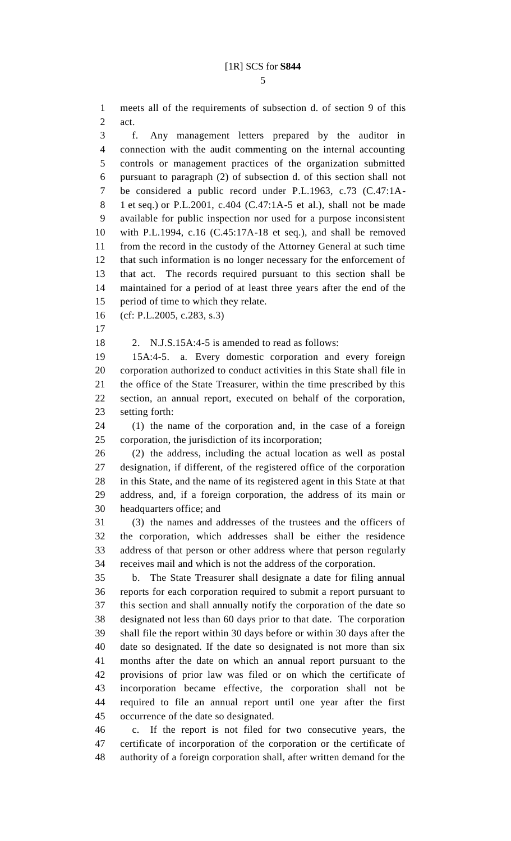meets all of the requirements of subsection d. of section 9 of this act.

 f. Any management letters prepared by the auditor in connection with the audit commenting on the internal accounting controls or management practices of the organization submitted pursuant to paragraph (2) of subsection d. of this section shall not be considered a public record under P.L.1963, c.73 (C.47:1A- 1 et seq.) or P.L.2001, c.404 (C.47:1A-5 et al.), shall not be made available for public inspection nor used for a purpose inconsistent with P.L.1994, c.16 (C.45:17A-18 et seq.), and shall be removed from the record in the custody of the Attorney General at such time that such information is no longer necessary for the enforcement of that act. The records required pursuant to this section shall be maintained for a period of at least three years after the end of the period of time to which they relate.

(cf: P.L.2005, c.283, s.3)

2. N.J.S.15A:4-5 is amended to read as follows:

 15A:4-5. a. Every domestic corporation and every foreign corporation authorized to conduct activities in this State shall file in the office of the State Treasurer, within the time prescribed by this section, an annual report, executed on behalf of the corporation, setting forth:

 (1) the name of the corporation and, in the case of a foreign corporation, the jurisdiction of its incorporation;

 (2) the address, including the actual location as well as postal designation, if different, of the registered office of the corporation in this State, and the name of its registered agent in this State at that address, and, if a foreign corporation, the address of its main or headquarters office; and

 (3) the names and addresses of the trustees and the officers of the corporation, which addresses shall be either the residence address of that person or other address where that person regularly receives mail and which is not the address of the corporation.

 b. The State Treasurer shall designate a date for filing annual reports for each corporation required to submit a report pursuant to this section and shall annually notify the corporation of the date so designated not less than 60 days prior to that date. The corporation shall file the report within 30 days before or within 30 days after the date so designated. If the date so designated is not more than six months after the date on which an annual report pursuant to the provisions of prior law was filed or on which the certificate of incorporation became effective, the corporation shall not be required to file an annual report until one year after the first occurrence of the date so designated.

 c. If the report is not filed for two consecutive years, the certificate of incorporation of the corporation or the certificate of authority of a foreign corporation shall, after written demand for the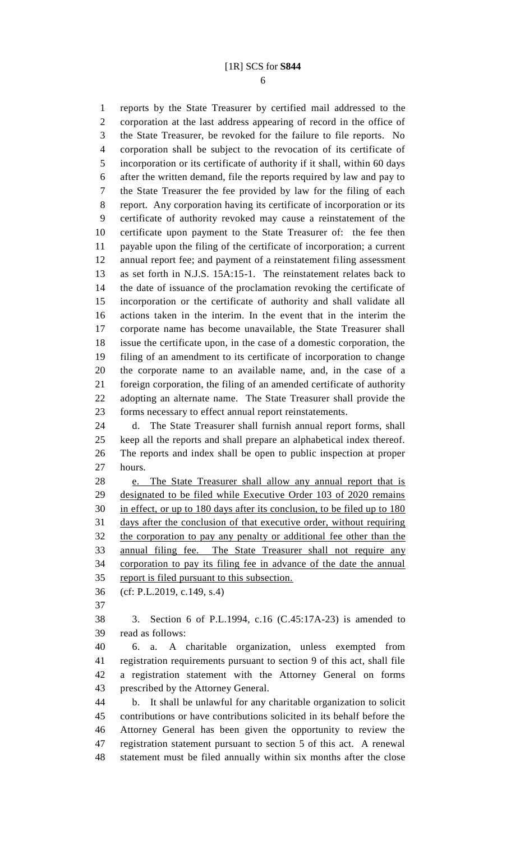## [1R] SCS for **S844**

 reports by the State Treasurer by certified mail addressed to the corporation at the last address appearing of record in the office of the State Treasurer, be revoked for the failure to file reports. No corporation shall be subject to the revocation of its certificate of incorporation or its certificate of authority if it shall, within 60 days after the written demand, file the reports required by law and pay to the State Treasurer the fee provided by law for the filing of each report. Any corporation having its certificate of incorporation or its certificate of authority revoked may cause a reinstatement of the certificate upon payment to the State Treasurer of: the fee then payable upon the filing of the certificate of incorporation; a current annual report fee; and payment of a reinstatement filing assessment as set forth in N.J.S. 15A:15-1. The reinstatement relates back to the date of issuance of the proclamation revoking the certificate of incorporation or the certificate of authority and shall validate all actions taken in the interim. In the event that in the interim the corporate name has become unavailable, the State Treasurer shall issue the certificate upon, in the case of a domestic corporation, the filing of an amendment to its certificate of incorporation to change the corporate name to an available name, and, in the case of a foreign corporation, the filing of an amended certificate of authority adopting an alternate name. The State Treasurer shall provide the forms necessary to effect annual report reinstatements. d. The State Treasurer shall furnish annual report forms, shall keep all the reports and shall prepare an alphabetical index thereof. The reports and index shall be open to public inspection at proper hours. e. The State Treasurer shall allow any annual report that is designated to be filed while Executive Order 103 of 2020 remains in effect, or up to 180 days after its conclusion, to be filed up to 180 days after the conclusion of that executive order, without requiring the corporation to pay any penalty or additional fee other than the annual filing fee. The State Treasurer shall not require any corporation to pay its filing fee in advance of the date the annual report is filed pursuant to this subsection. (cf: P.L.2019, c.149, s.4) 3. Section 6 of P.L.1994, c.16 (C.45:17A-23) is amended to read as follows: 6. a. A charitable organization, unless exempted from registration requirements pursuant to section 9 of this act, shall file a registration statement with the Attorney General on forms prescribed by the Attorney General. b. It shall be unlawful for any charitable organization to solicit contributions or have contributions solicited in its behalf before the Attorney General has been given the opportunity to review the

 registration statement pursuant to section 5 of this act. A renewal statement must be filed annually within six months after the close